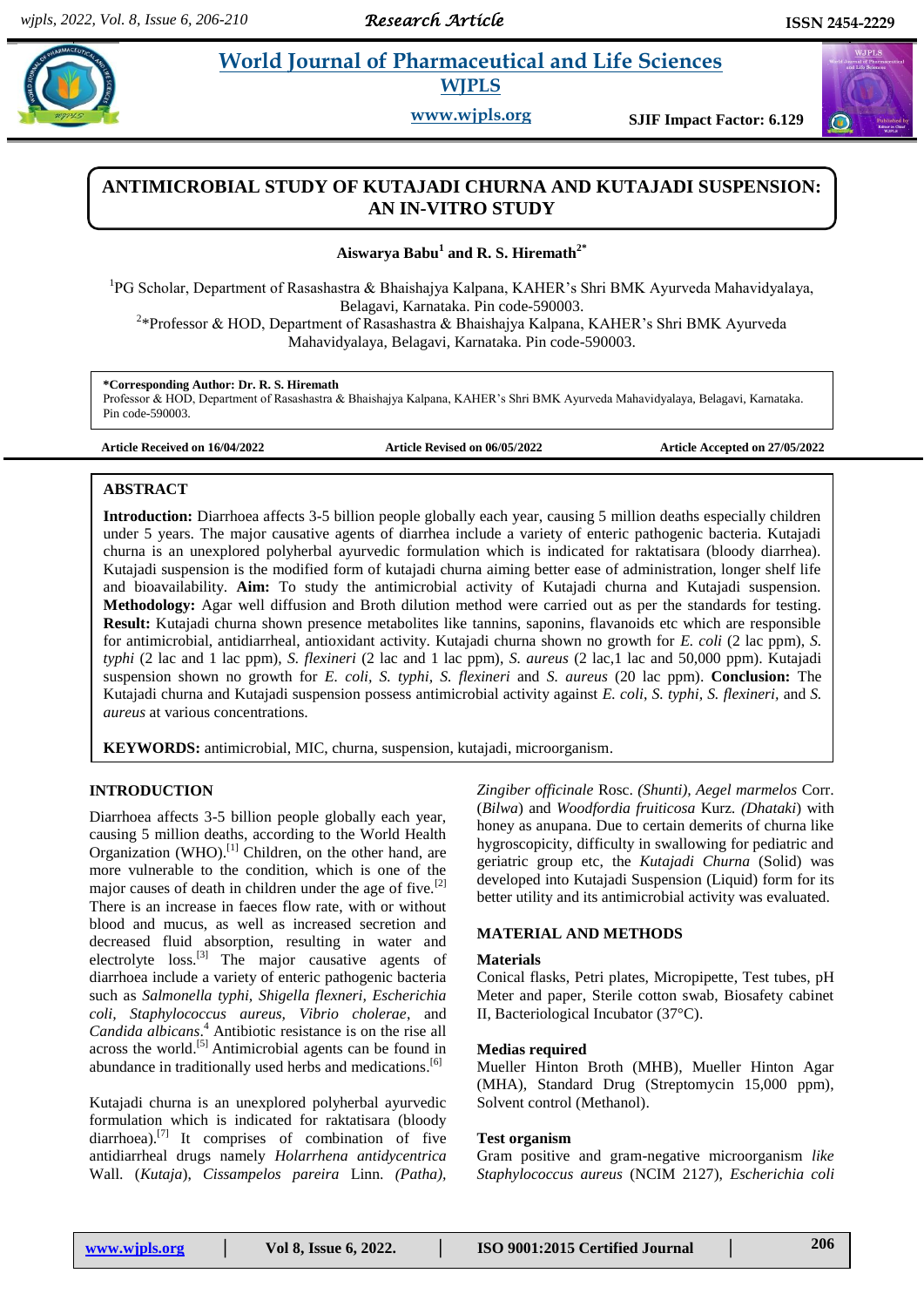# **Example 3 Morld Journal of Pharmaceutical and Life Sciences WJPLS**

**www.wjpls.org SJIF Impact Factor: 6.129**

# **ANTIMICROBIAL STUDY OF KUTAJADI CHURNA AND KUTAJADI SUSPENSION: AN IN-VITRO STUDY**

## **Aiswarya Babu<sup>1</sup> and R. S. Hiremath2\***

<sup>1</sup>PG Scholar, Department of Rasashastra & Bhaishajya Kalpana, KAHER's Shri BMK Ayurveda Mahavidyalaya, Belagavi, Karnataka. Pin code-590003.

<sup>2</sup>\*Professor & HOD, Department of Rasashastra & Bhaishajya Kalpana, KAHER's Shri BMK Ayurveda Mahavidyalaya, Belagavi, Karnataka. Pin code-590003.

### **\*Corresponding Author: Dr. R. S. Hiremath**

Professor & HOD, Department of Rasashastra & Bhaishajya Kalpana, KAHER's Shri BMK Ayurveda Mahavidyalaya, Belagavi, Karnataka. Pin code-590003.

**Article Received on 16/04/2022 Article Revised on 06/05/2022 Article Accepted on 27/05/2022**

## **ABSTRACT**

**Introduction:** Diarrhoea affects 3-5 billion people globally each year, causing 5 million deaths especially children under 5 years. The major causative agents of diarrhea include a variety of enteric pathogenic bacteria. Kutajadi churna is an unexplored polyherbal ayurvedic formulation which is indicated for raktatisara (bloody diarrhea). Kutajadi suspension is the modified form of kutajadi churna aiming better ease of administration, longer shelf life and bioavailability. **Aim:** To study the antimicrobial activity of Kutajadi churna and Kutajadi suspension. **Methodology:** Agar well diffusion and Broth dilution method were carried out as per the standards for testing. **Result:** Kutajadi churna shown presence metabolites like tannins, saponins, flavanoids etc which are responsible for antimicrobial, antidiarrheal, antioxidant activity. Kutajadi churna shown no growth for *E. coli* (2 lac ppm), *S. typhi* (2 lac and 1 lac ppm), *S. flexineri* (2 lac and 1 lac ppm), *S. aureus* (2 lac,1 lac and 50,000 ppm). Kutajadi suspension shown no growth for *E. coli, S. typhi, S. flexineri* and *S. aureus* (20 lac ppm). **Conclusion:** The Kutajadi churna and Kutajadi suspension possess antimicrobial activity against *E. coli*, *S. typhi, S. flexineri,* and *S. aureus* at various concentrations.

**KEYWORDS:** antimicrobial, MIC, churna, suspension, kutajadi, microorganism.

# **INTRODUCTION**

Diarrhoea affects 3-5 billion people globally each year, causing 5 million deaths, according to the World Health Organization (WHO).<sup>[1]</sup> Children, on the other hand, are more vulnerable to the condition, which is one of the major causes of death in children under the age of five.<sup>[2]</sup> There is an increase in faeces flow rate, with or without blood and mucus, as well as increased secretion and decreased fluid absorption, resulting in water and electrolyte loss.<sup>[3]</sup> The major causative agents of diarrhoea include a variety of enteric pathogenic bacteria such as *Salmonella typhi, Shigella flexneri, Escherichia coli, Staphylococcus aureus, Vibrio cholerae*, and *Candida albicans*. <sup>4</sup> Antibiotic resistance is on the rise all across the world.<sup>[5]</sup> Antimicrobial agents can be found in abundance in traditionally used herbs and medications.<sup>[6]</sup>

Kutajadi churna is an unexplored polyherbal ayurvedic formulation which is indicated for raktatisara (bloody diarrhoea).<sup>[7]</sup> It comprises of combination of five antidiarrheal drugs namely *Holarrhena antidycentrica* Wall. (*Kutaja*), *Cissampelos pareira* Linn. *(Patha),* 

*Zingiber officinale* Rosc. *(Shunti), Aegel marmelos* Corr. (*Bilwa*) and *Woodfordia fruiticosa* Kurz*. (Dhataki*) with honey as anupana. Due to certain demerits of churna like hygroscopicity, difficulty in swallowing for pediatric and geriatric group etc, the *Kutajadi Churna* (Solid) was developed into Kutajadi Suspension (Liquid) form for its better utility and its antimicrobial activity was evaluated.

#### **MATERIAL AND METHODS**

#### **Materials**

Conical flasks, Petri plates, Micropipette, Test tubes, pH Meter and paper, Sterile cotton swab, Biosafety cabinet II, Bacteriological Incubator (37°C).

#### **Medias required**

Mueller Hinton Broth (MHB), Mueller Hinton Agar (MHA), Standard Drug (Streptomycin 15,000 ppm), Solvent control (Methanol).

#### **Test organism**

Gram positive and gram-negative microorganism *like Staphylococcus aureus* (NCIM 2127), *Escherichia coli*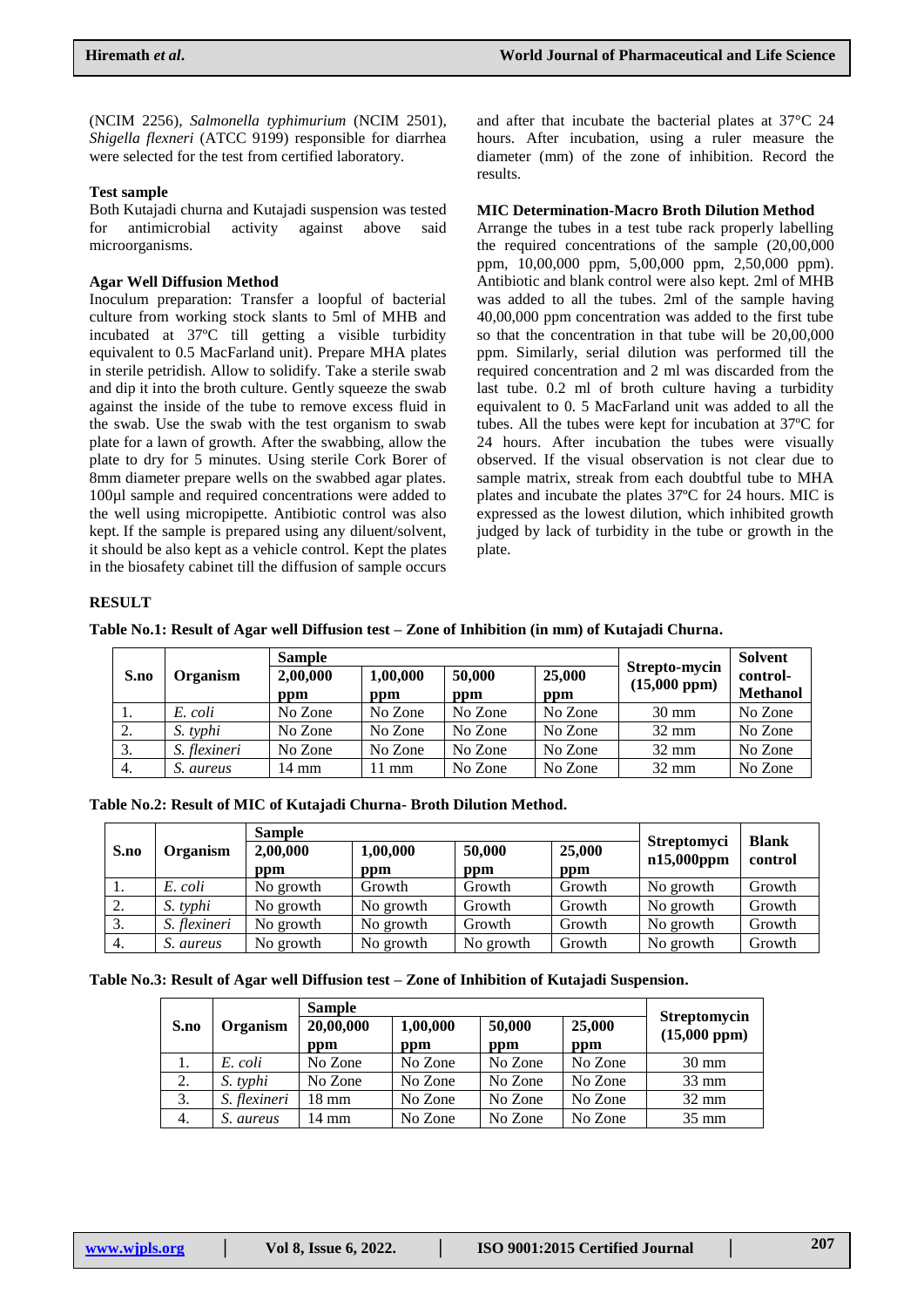(NCIM 2256), *Salmonella typhimurium* (NCIM 2501), *Shigella flexneri* (ATCC 9199) responsible for diarrhea were selected for the test from certified laboratory.

#### **Test sample**

Both Kutajadi churna and Kutajadi suspension was tested for antimicrobial activity against above said microorganisms.

#### **Agar Well Diffusion Method**

Inoculum preparation: Transfer a loopful of bacterial culture from working stock slants to 5ml of MHB and incubated at 37ºC till getting a visible turbidity equivalent to 0.5 MacFarland unit). Prepare MHA plates in sterile petridish. Allow to solidify. Take a sterile swab and dip it into the broth culture. Gently squeeze the swab against the inside of the tube to remove excess fluid in the swab. Use the swab with the test organism to swab plate for a lawn of growth. After the swabbing, allow the plate to dry for 5 minutes. Using sterile Cork Borer of 8mm diameter prepare wells on the swabbed agar plates. 100µl sample and required concentrations were added to the well using micropipette. Antibiotic control was also kept. If the sample is prepared using any diluent/solvent, it should be also kept as a vehicle control. Kept the plates in the biosafety cabinet till the diffusion of sample occurs

and after that incubate the bacterial plates at 37°C 24 hours. After incubation, using a ruler measure the diameter (mm) of the zone of inhibition. Record the results.

#### **MIC Determination-Macro Broth Dilution Method**

Arrange the tubes in a test tube rack properly labelling the required concentrations of the sample (20,00,000 ppm, 10,00,000 ppm, 5,00,000 ppm, 2,50,000 ppm). Antibiotic and blank control were also kept. 2ml of MHB was added to all the tubes. 2ml of the sample having 40,00,000 ppm concentration was added to the first tube so that the concentration in that tube will be 20,00,000 ppm. Similarly, serial dilution was performed till the required concentration and 2 ml was discarded from the last tube. 0.2 ml of broth culture having a turbidity equivalent to 0. 5 MacFarland unit was added to all the tubes. All the tubes were kept for incubation at 37ºC for 24 hours. After incubation the tubes were visually observed. If the visual observation is not clear due to sample matrix, streak from each doubtful tube to MHA plates and incubate the plates 37ºC for 24 hours. MIC is expressed as the lowest dilution, which inhibited growth judged by lack of turbidity in the tube or growth in the plate.

#### **RESULT**

| Table No.1: Result of Agar well Diffusion test - Zone of Inhibition (in mm) of Kutajadi Churna. |  |  |  |
|-------------------------------------------------------------------------------------------------|--|--|--|

|      |              | <b>Sample</b>        |         | Strepto-mycin    | <b>Solvent</b> |                 |                 |
|------|--------------|----------------------|---------|------------------|----------------|-----------------|-----------------|
| S.no | Organism     | 2,00,000<br>1,00,000 |         | 25,000<br>50,000 |                | (15,000~ppm)    | control-        |
|      |              | ppm                  | ppm     | ppm              | ppm            |                 | <b>Methanol</b> |
| 1.   | E. coli      | No Zone              | No Zone | No Zone          | No Zone        | $30 \text{ mm}$ | No Zone         |
| 2.   | S. typhi     | No Zone              | No Zone | No Zone          | No Zone        | $32 \text{ mm}$ | No Zone         |
| 3.   | S. flexineri | No Zone              | No Zone | No Zone          | No Zone        | $32 \text{ mm}$ | No Zone         |
| 4.   | S. aureus    | 14 mm                | 1 mm    | No Zone          | No Zone        | $32 \text{ mm}$ | No Zone         |

| Table No.2: Result of MIC of Kutajadi Churna- Broth Dilution Method. |  |  |
|----------------------------------------------------------------------|--|--|
|----------------------------------------------------------------------|--|--|

|      |              | <b>Sample</b> |           |           | <b>Blank</b> |                                     |         |
|------|--------------|---------------|-----------|-----------|--------------|-------------------------------------|---------|
| S.no | Organism     | 2,00,000      | 1,00,000  | 50,000    | 25,000       | <b>Streptomyci</b><br>$n15,000$ ppm | control |
|      |              | ppm           | ppm       | ppm       | ppm          |                                     |         |
| .,   | E. coli      | No growth     | Growth    | Growth    | Growth       | No growth                           | Growth  |
| 2.   | S. typhi     | No growth     | No growth | Growth    | Growth       | No growth                           | Growth  |
| 3.   | S. flexineri | No growth     | No growth | Growth    | Growth       | No growth                           | Growth  |
| 4.   | S. aureus    | No growth     | No growth | No growth | Growth       | No growth                           | Growth  |

|  | Table No.3: Result of Agar well Diffusion test - Zone of Inhibition of Kutajadi Suspension. |  |  |
|--|---------------------------------------------------------------------------------------------|--|--|
|  |                                                                                             |  |  |

|      |              | <b>Sample</b>    |                 |               |               |                                              |
|------|--------------|------------------|-----------------|---------------|---------------|----------------------------------------------|
| S.no | Organism     | 20,00,000<br>ppm | 1,00,000<br>ppm | 50,000<br>ppm | 25,000<br>ppm | <b>Streptomycin</b><br>$(15,000~\text{ppm})$ |
| 1.   | E. coli      | No Zone          | No Zone         | No Zone       | No Zone       | $30 \text{ mm}$                              |
| 2.   | S. typhi     | No Zone          | No Zone         | No Zone       | No Zone       | $33 \text{ mm}$                              |
| 3.   | S. flexineri | 18 mm            | No Zone         | No Zone       | No Zone       | $32 \text{ mm}$                              |
| 4.   | S. aureus    | 14 mm            | No Zone         | No Zone       | No Zone       | $35 \text{ mm}$                              |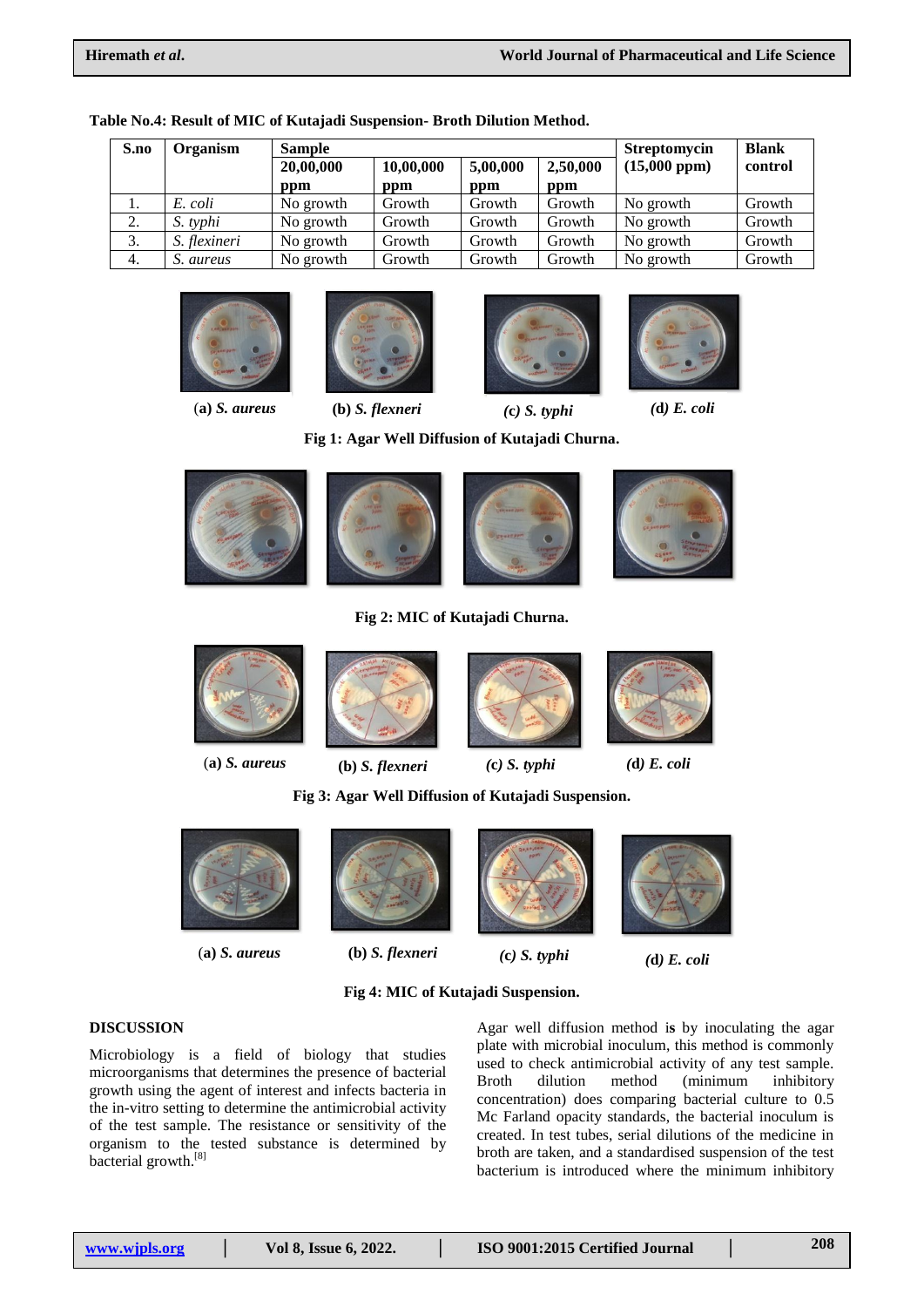| S.no | Organism     | <b>Sample</b> |           | <b>Streptomycin</b> | <b>Blank</b> |              |         |
|------|--------------|---------------|-----------|---------------------|--------------|--------------|---------|
|      |              | 20,00,000     | 10,00,000 | 5,00,000            | 2,50,000     | (15,000~ppm) | control |
|      |              | ppm           | ppm       | ppm                 | ppm          |              |         |
| 1.   | E. coli      | No growth     | Growth    | Growth              | Growth       | No growth    | Growth  |
| 2.   | S. typhi     | No growth     | Growth    | Growth              | Growth       | No growth    | Growth  |
| 3.   | S. flexineri | No growth     | Growth    | Growth              | Growth       | No growth    | Growth  |
| 4.   | S. aureus    | No growth     | Growth    | Growth              | Growth       | No growth    | Growth  |

#### **Table No.4: Result of MIC of Kutajadi Suspension- Broth Dilution Method.**













**Fig 1: Agar Well Diffusion of Kutajadi Churna.**



### **Fig 2: MIC of Kutajadi Churna.**



**Fig 3: Agar Well Diffusion of Kutajadi Suspension.**



(**a)** *S. aureus* **(b)** *S. flexneri (***c***) S. typhi (***d***) E. coli*





# **Fig 4: MIC of Kutajadi Suspension.**

# **DISCUSSION**

Microbiology is a field of biology that studies microorganisms that determines the presence of bacterial growth using the agent of interest and infects bacteria in the in-vitro setting to determine the antimicrobial activity of the test sample. The resistance or sensitivity of the organism to the tested substance is determined by bacterial growth.<sup>[8]</sup>

Agar well diffusion method i**s** by inoculating the agar plate with microbial inoculum, this method is commonly used to check antimicrobial activity of any test sample. Broth dilution method (minimum inhibitory concentration) does comparing bacterial culture to 0.5 Mc Farland opacity standards, the bacterial inoculum is created. In test tubes, serial dilutions of the medicine in broth are taken, and a standardised suspension of the test bacterium is introduced where the minimum inhibitory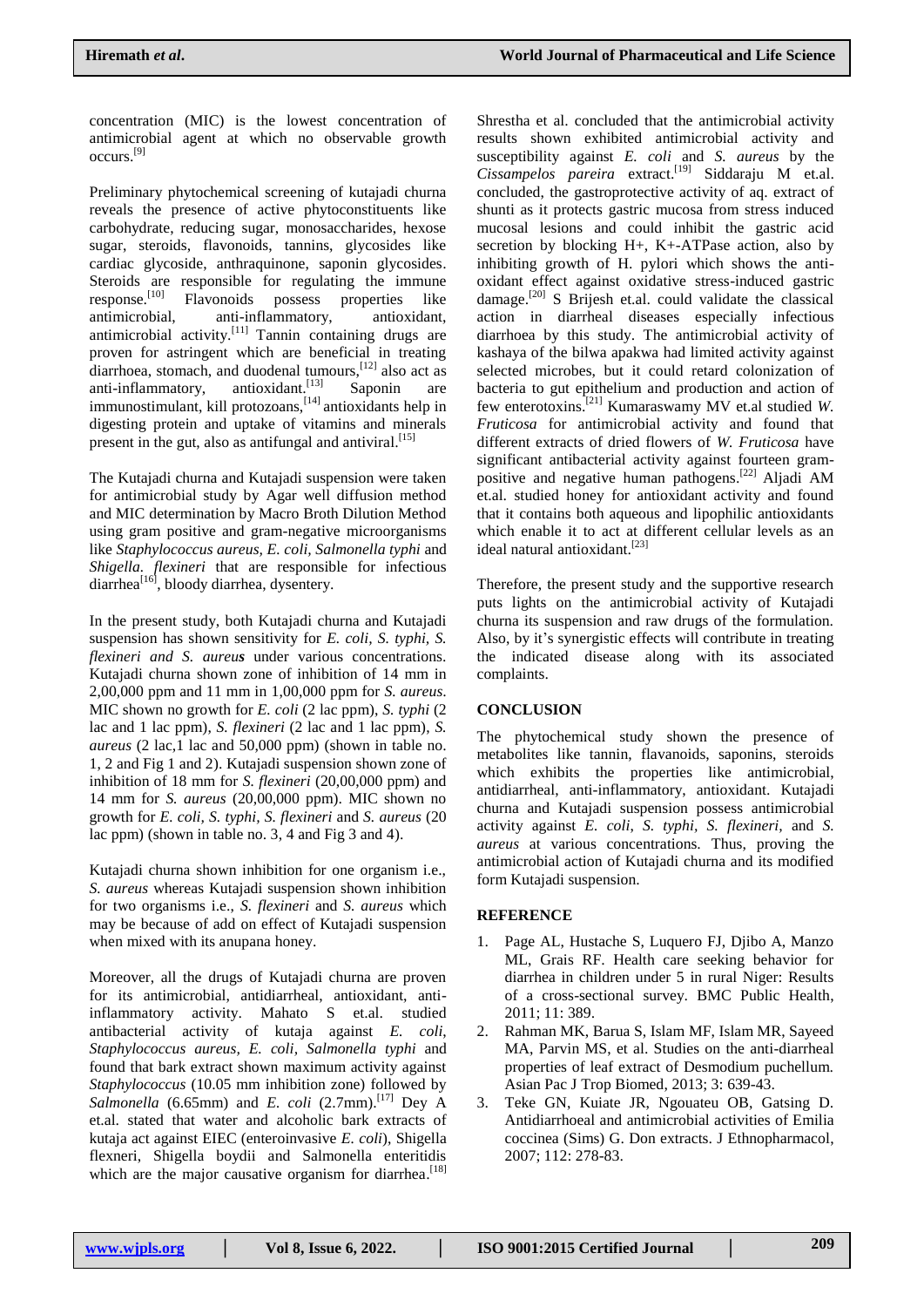concentration (MIC) is the lowest concentration of antimicrobial agent at which no observable growth occurs. [9]

Preliminary phytochemical screening of kutajadi churna reveals the presence of active phytoconstituents like carbohydrate, reducing sugar, monosaccharides, hexose sugar, steroids, flavonoids, tannins, glycosides like cardiac glycoside, anthraquinone, saponin glycosides. Steroids are responsible for regulating the immune response.[10] Flavonoids possess properties like antimicrobial, anti-inflammatory, antioxidant, antimicrobial activity.<sup>[11]</sup> Tannin containing drugs are proven for astringent which are beneficial in treating diarrhoea, stomach, and duodenal tumours,<sup>[12]</sup> also act as anti-inflammatory, antioxidant.<sup>[13]</sup> Saponin are immunostimulant, kill protozoans,[14] antioxidants help in digesting protein and uptake of vitamins and minerals present in the gut, also as antifungal and antiviral.<sup>[15]</sup>

The Kutajadi churna and Kutajadi suspension were taken for antimicrobial study by Agar well diffusion method and MIC determination by Macro Broth Dilution Method using gram positive and gram-negative microorganisms like *Staphylococcus aureus, E. coli, Salmonella typhi* and *Shigella. flexineri* that are responsible for infectious diarrhea $^{[16]}$ , bloody diarrhea, dysentery.

In the present study, both Kutajadi churna and Kutajadi suspension has shown sensitivity for *E. coli, S. typhi, S. flexineri and S. aureus* under various concentrations. Kutajadi churna shown zone of inhibition of 14 mm in 2,00,000 ppm and 11 mm in 1,00,000 ppm for *S. aureus*. MIC shown no growth for *E. coli* (2 lac ppm), *S. typhi* (2 lac and 1 lac ppm), *S. flexineri* (2 lac and 1 lac ppm), *S. aureus* (2 lac,1 lac and 50,000 ppm) (shown in table no. 1, 2 and Fig 1 and 2). Kutajadi suspension shown zone of inhibition of 18 mm for *S. flexineri* (20,00,000 ppm) and 14 mm for *S. aureus* (20,00,000 ppm). MIC shown no growth for *E. coli, S. typhi, S. flexineri* and *S. aureus* (20 lac ppm) (shown in table no. 3, 4 and Fig 3 and 4).

Kutajadi churna shown inhibition for one organism i.e., *S. aureus* whereas Kutajadi suspension shown inhibition for two organisms i.e., *S. flexineri* and *S. aureus* which may be because of add on effect of Kutajadi suspension when mixed with its anupana honey.

Moreover, all the drugs of Kutajadi churna are proven for its antimicrobial, antidiarrheal, antioxidant, antiinflammatory activity. Mahato S et.al. studied antibacterial activity of kutaja against *E. coli*, *Staphylococcus aureus, E. coli, Salmonella typhi* and found that bark extract shown maximum activity against *Staphylococcus* (10.05 mm inhibition zone) followed by Salmonella  $(6.65$ mm) and *E. coli*  $(2.7$ mm).<sup>[17]</sup> Dey A et.al. stated that water and alcoholic bark extracts of kutaja act against EIEC (enteroinvasive *E. coli*), Shigella flexneri, Shigella boydii and Salmonella enteritidis which are the major causative organism for diarrhea.<sup>[18]</sup>

Shrestha et al. concluded that the antimicrobial activity results shown exhibited antimicrobial activity and susceptibility against *E. coli* and *S. aureus* by the *Cissampelos pareira* extract. [19] Siddaraju M et.al. concluded, the gastroprotective activity of aq. extract of shunti as it protects gastric mucosa from stress induced mucosal lesions and could inhibit the gastric acid secretion by blocking H+, K+-ATPase action, also by inhibiting growth of H. pylori which shows the antioxidant effect against oxidative stress-induced gastric damage.<sup>[20]</sup> S Brijesh et.al. could validate the classical action in diarrheal diseases especially infectious diarrhoea by this study. The antimicrobial activity of kashaya of the bilwa apakwa had limited activity against selected microbes, but it could retard colonization of bacteria to gut epithelium and production and action of few enterotoxins. [21] Kumaraswamy MV et.al studied *W. Fruticosa* for antimicrobial activity and found that different extracts of dried flowers of *W. Fruticosa* have significant antibacterial activity against fourteen grampositive and negative human pathogens. [22] Aljadi AM et.al. studied honey for antioxidant activity and found that it contains both aqueous and lipophilic antioxidants which enable it to act at different cellular levels as an ideal natural antioxidant.<sup>[23]</sup>

Therefore, the present study and the supportive research puts lights on the antimicrobial activity of Kutajadi churna its suspension and raw drugs of the formulation. Also, by it's synergistic effects will contribute in treating the indicated disease along with its associated complaints.

# **CONCLUSION**

The phytochemical study shown the presence of metabolites like tannin, flavanoids, saponins, steroids which exhibits the properties like antimicrobial, antidiarrheal, anti-inflammatory, antioxidant. Kutajadi churna and Kutajadi suspension possess antimicrobial activity against *E. coli*, *S. typhi, S. flexineri,* and *S. aureus* at various concentrations. Thus, proving the antimicrobial action of Kutajadi churna and its modified form Kutajadi suspension.

# **REFERENCE**

- 1. Page AL, Hustache S, Luquero FJ, Djibo A, Manzo ML, Grais RF. Health care seeking behavior for diarrhea in children under 5 in rural Niger: Results of a cross-sectional survey. BMC Public Health, 2011; 11: 389.
- 2. Rahman MK, Barua S, Islam MF, Islam MR, Sayeed MA, Parvin MS, et al. Studies on the anti-diarrheal properties of leaf extract of Desmodium puchellum. Asian Pac J Trop Biomed, 2013; 3: 639-43.
- 3. Teke GN, Kuiate JR, Ngouateu OB, Gatsing D. Antidiarrhoeal and antimicrobial activities of Emilia coccinea (Sims) G. Don extracts. J Ethnopharmacol, 2007; 112: 278-83.